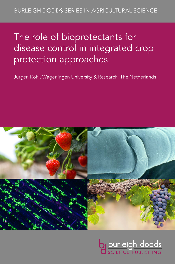# The role of bioprotectants for disease control in integrated crop protection approaches

Jürgen Köhl, Wageningen University & Research, The Netherlands



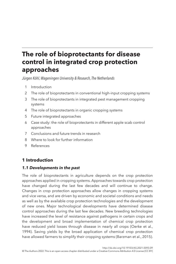# **The role of bioprotectants for disease control in integrated crop protection approaches**

*Jürgen Köhl, Wageningen University & Research, The Netherlands*

- <span id="page-1-1"></span>1 [Introduction](#page-1-0)
- <span id="page-1-2"></span>2 [The role of bioprotectants in conventional high-input cropping systems](#page-4-0)
- <span id="page-1-3"></span>3 [The role of bioprotectants in integrated pest management cropping](#page-5-0)  [systems](#page-5-0)
- <span id="page-1-4"></span>4 [The role of bioprotectants in organic cropping systems](#page-9-0)
- <span id="page-1-5"></span>5 [Future integrated approaches](#page-12-0)
- <span id="page-1-6"></span>6 [Case study: the role of bioprotectants in different apple scab control](#page-16-0)  [approaches](#page-16-0)
- <span id="page-1-7"></span>7 [Conclusions and future trends in research](#page-21-0)
- <span id="page-1-8"></span>8 [Where to look for further information](#page-22-0)
- <span id="page-1-9"></span>9 [References](#page-23-0)

# <span id="page-1-0"></span>**[1 Introduction](#page-1-1)**

# *1.1 Developments in the past*

The role of bioprotectants in agriculture depends on the crop protection approaches applied in cropping systems. Approaches towards crop protection have changed during the last few decades and will continue to change. Changes in crop protection approaches allow changes in cropping systems and vice versa, and are driven by economic and societal conditions and needs as well as by the available crop protection technologies and the development of new ones. Major technological developments have determined disease control approaches during the last few decades. New breeding technologies have increased the level of resistance against pathogens in certain crops and the development and broad implementation of chemical crop protection have reduced yield losses through disease in nearly all crops [\(Oerke et al.,](#page-27-0)  [1994\)](#page-27-0). Saving yields by the broad application of chemical crop protection have allowed farmers to simplify their cropping systems [\(Barzman et al., 2015](#page-23-1)).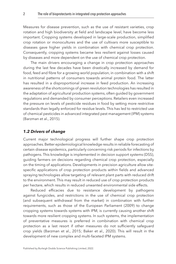Measures for disease prevention, such as the use of resistant varieties, crop rotation and high biodiversity at field and landscape level, have become less important. Cropping systems developed in large-scale production, simplified crop rotation or monocultures and the use of cultivars more susceptible to diseases gave higher yields in combination with chemical crop protection. Consequently, cropping systems became less resilient against losses caused by diseases and more dependent on the use of chemical crop protection.

The main drivers encouraging a change in crop protection approaches during the last few decades have been drastically increased by demand for food, feed and fibre for a growing world population, in combination with a shift in nutritional patterns of consumers towards animal protein food. The latter has resulted in a disproportional increase in feed production. An increasing awareness of the shortcomings of green revolution technologies has resulted in the adaptation of agricultural production systems, often guided by government regulations and demanded by consumer perceptions. Retailers even increased the pressure on levels of pesticide residues in food by setting more restrictive standards than legally enforced for residue levels. This has led to restricted use of chemical pesticides in advanced integrated pest management (IPM) systems (Barzman et al., 2015).

#### *1.2 Drivers of change*

Current major technological progress will further shape crop protection approaches. Better epidemiological knowledge results in reliable forecasting of certain disease epidemics, particularly concerning risk periods for infections by pathogens. This knowledge is implemented in decision support systems (DSS), guiding farmers on decisions regarding chemical crop protection, especially on the timing of applications. Developments in precision agriculture allow sitespecific applications of crop protection products within fields and advanced spraying technologies allow targeting of relevant plant parts with reduced drift to the environment. This may result in reduced use of crop protection products per hectare, which results in reduced unwanted environmental side effects.

Reduced efficacies due to resistance development by pathogens against fungicides, and restrictions in the use of chemical crop protection (and subsequent withdrawal from the market) in combination with further requirements, such as those of the [European Parliament \(2009\)](#page-25-0) to change cropping systems towards systems with IPM, is currently causing another shift towards more resilient cropping systems. In such systems, the implementation of preventative measures is preferred in combination with chemical crop protection as a last resort if other measures do not sufficiently safeguard crop yields ([Barzman et al., 2015;](#page-23-1) [Baker et al., 2020\)](#page-23-2). This will result in the development of new complex and multi-faceted IPM systems.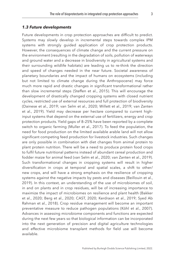#### *1.3 Future developments*

Future developments in crop protection approaches are difficult to predict. Systems may slowly develop in incremental steps towards complex IPM systems with strongly guided application of crop protection products. However, the consequences of climate change and the current pressure on the environment (resulting in the degradation of soils, pollution of waterways and ground water and a decrease in biodiversity in agricultural systems and their surrounding wildlife habitats) are leading us to re-think the direction and speed of changes needed in the near future. Societal awareness of planetary boundaries and the impact of humans on ecosystems (including but not limited to climate change during the Anthropocene) may force much more rapid and drastic changes in significant transformational rather than slow incremental steps ([Steffen et al., 2015](#page-27-1)). This will encourage the development of drastically changed cropping systems with closed nutrient cycles, restricted use of external resources and full protection of biodiversity ([Dainese et al., 2019;](#page-24-0) [van Selm et al., 2020](#page-28-0); [Willett et al., 2019](#page-28-1); [van Zanten](#page-28-2)  [et al., 2019](#page-28-2)). Yield may decrease per hectare compared to current highinput systems that depend on the external use of fertilizers, energy and crop protection products. Yield gaps of 8–25% have been reported by a complete switch to organic farming ([Muller et al., 2017\)](#page-26-0). To feed the population, the need for food production on the limited available arable land will not allow significant competing feed production for livestock industries. Such changes are only possible in combination with diet changes from animal protein to plant protein nutrition. There will be a need to produce protein food crops to fulfil future nutritional patterns instead of abundant cereal production and fodder maize for animal feed [\(van Selm et al., 2020;](#page-28-0) [van Zanten et al., 2019](#page-28-2)). Such transformational changes in cropping systems will result in higher diversification in crops at temporal and spatial scales, a shift to other/ new crops, and will have a strong emphasis on the resilience of cropping systems against the negative impacts by pests and diseases ([Beillouin et al.,](#page-23-3)  [2019](#page-23-3)). In this context, an understanding of the use of microbiomes of soil, in and on plants and in crop residues, will be of increasing importance to maximize the impact of microbiomes on resilience and plant health ([Bakker](#page-23-4)  [et al., 2020](#page-23-4); [Berg et al., 2020;](#page-23-5) CAST, [2020](#page-24-1); [Kerdraon et al., 2019;](#page-25-1) [Syed Ab](#page-28-3)  [Rahman et al., 2018\)](#page-28-3). Crop residue management will become an important preventative measure to reduce pathogen populations [\(Köhl et al., 2007](#page-25-2)). Advances in assessing microbiome components and functions are expected during the next few years so that biological information can be incorporated into the next generation of precision and digital agriculture technologies and effective microbiome transplant methods for field use will become available.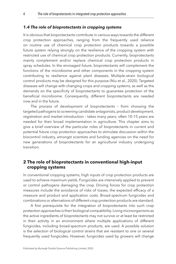#### *1.4 The role of bioprotectants in cropping systems*

It is obvious that bioprotectants contribute in various ways towards the different crop protection approaches, ranging from the frequently used reliance on routine use of chemical crop protection products towards a possible future system relying strongly on the resilience of the cropping system with restricted use of chemical crop protection products. Currently, bioprotectants mainly complement and/or replace chemical crop protection products in spray schedules. In the envisaged future, bioprotectants will complement the functions of the microbiome and other components in the cropping system contributing to resilience against plant diseases. Multiple-strain biological control products may be designed for this purpose [\(Niu et al., 2020](#page-26-1)). Targeted diseases will change with changing crops and cropping systems, as well as the demands on the specificity of bioprotectants to guarantee protection of the beneficial microbiome. Consequently, different bioprotectants are needed now and in the future.

The process of development of bioprotectants – from choosing the targeted pathogens to screening candidate antagonists, product development, registration and market introduction – takes many years; often 10–15 years are needed for their broad implementation in agriculture. This chapter aims to give a brief overview of the particular roles of bioprotectants in current and potential future crop protection approaches to stimulate discussion within the biocontrol industry, amongst scientists and funding agencies on the need for new generations of bioprotectants for an agricultural industry undergoing transition.

# <span id="page-4-0"></span>**[2 The role of bioprotectants in conventional high-input](#page-1-2)  [cropping systems](#page-1-2)**

In conventional cropping systems, high inputs of crop protection products are used to achieve maximum yields. Fungicides are intensively applied to prevent or control pathogens damaging the crop. Driving forces for crop protection measures include the avoidance of risks of losses, the expected efficacy of a measure and product and application costs. Broad-spectrum fungicides and combinations or alternations of different crop protection products are standard.

A first prerequisite for the integration of bioprotectants into such crop protection approaches is their biological compatibility. Living microorganisms as the active ingredients of bioprotectants may not survive or at least be restricted in their activity in an environment where multiple applications of different fungicides, including broad-spectrum products, are used. A possible solution is the selection of biological control strains that are resistant to one or several frequently used fungicides. However, fungicides used by growers will change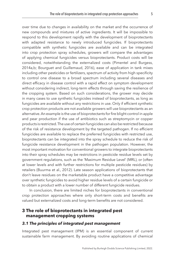over time due to changes in availability on the market and the occurrence of new compounds and mixtures of active ingredients. It will be impossible to respond to this development rapidly with the development of bioprotectants with adapted resistance to newly introduced fungicides. If bioprotectants compatible with synthetic fungicides are available and can be integrated into crop protection spray schedules, growers will compare the advantages of applying chemical fungicides versus bioprotectants. Product costs will be considered, notwithstanding the externalized costs [\(Pimentel and Burgess,](#page-27-2)  [2014a](#page-27-2),[b](#page-27-3); [Bourguet and Guillemaud, 2016\)](#page-24-2), ease of application in tank mixes including other pesticides or fertilizers, spectrum of activity from high specificity to control one disease to a broad spectrum including several diseases and direct efficacy in disease control with a rapid effect on symptom development without considering indirect, long-term effects through saving the resilience of the cropping system. Based on such considerations, the grower may decide in many cases to use synthetic fungicides instead of bioprotectants, as long as fungicides are available without any restrictions in use. Only if efficient synthetic crop protection products are not available growers will use bioprotectants as an alternative. An example is the use of bioprotectants for fire blight control in apple and pear production if the use of antibiotics such as streptomycin or copper products is restricted. The use of certain fungicides can also be restricted because of the risk of resistance development by the targeted pathogen. If no efficient fungicides are available to replace the preferred fungicides with restricted use, bioprotectants can be integrated into the spray schedule to reduce the risk of fungicide resistance development in the pathogen population. However, the most important motivation for conventional growers to integrate bioprotectants into their spray schedules may be restrictions in pesticide residue levels set by government regulations, such as the 'Maximum Residue Level' (MRL), or (often at lower levels and with further restrictions for multiple pesticide residues) by retailers [\(Buurma et al., 2012](#page-24-3)). Late season applications of bioprotectants that don't leave residues on the marketable product have a competitive advantage over synthetic fungicides to avoid higher residue levels of a certain fungicide or to obtain a product with a lower number of different fungicide residues.

In conclusion, there are limited niches for bioprotectants in conventional crop protection approaches where only short-term costs and benefits are valued but externalized costs and long-term benefits are not considered.

# <span id="page-5-0"></span>**[3 The role of bioprotectants in integrated pest](#page-1-3)  [management cropping systems](#page-1-3)**

# *3.1 The principles of integrated pest management*

Integrated pest management (IPM) is an essential component of current sustainable farm management. By avoiding routine applications of chemical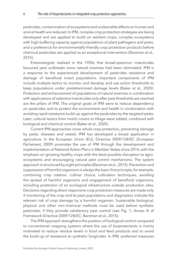pesticides, contamination of ecosystems and undesirable effects on human and animal health are reduced. In IPM, complex crop protection strategies are being developed and are applied to build on resilient crops, complex ecosystems with high buffering capacity against populations of plant pathogens and pests, and a preference for environmentally friendly crop protection products before chemical pesticides are applied as an exceptional intervention ([Barzman et al.,](#page-23-1)  [2015\)](#page-23-1).

Entomologists realised in the 1950s that broad-spectrum insecticides favoured pest outbreaks since natural enemies had been eliminated. IPM is a response to the experienced development of pesticides resistance and damage of beneficial insect populations. Important components of IPM include multiple tactics to monitor and develop and use action thresholds to keep populations under predetermined damage levels ([Baker et al., 2020](#page-23-2)). Protection and enhancement of populations of natural enemies in combination with applications of selective insecticides only after pest thresholds are reached are the pillars of IPM. The original goals of IPM were to reduce dependency on pesticides and to protect the environment and health in combination with avoiding rapid resistance build-up against the pesticides by the targeted pests. Later, cultural tactics from mulch covers to tillage were added, combined with biological and chemical control ([Baker et al., 2020](#page-23-2)).

Current IPM approaches cover whole crop protection, preventing damage by pests, diseases and weeds. IPM has developed a broad application in agriculture. In the European Union (EU), Directive 2009/128/EC ([European](#page-25-0)  [Parliament, 2009](#page-25-0)) promotes the use of IPM through the development and implementation of National Action Plans in Member States since 2014, with the emphasis on growing healthy crops with the least possible disruption to agroecosystems and encouraging natural pest control mechanisms. The system approach is structured by eight principles [\(Barzman et al., 2015](#page-23-1)). Prevention and suppression of harmful organisms is always the basic first principle, for example, combining crop rotation, cultivar choice, cultivation techniques, avoiding the spread of harmful organisms and engagement of beneficial organisms, including protection of an ecological infrastructure outside production sites. Decisions regarding direct responsive crop protection measures are made only if monitoring of the crop and its pest populations and diagnostics indicate the relevant risk of crop damage by a harmful organism. Sustainable biological, physical and other non-chemical methods must be used before synthetic pesticides, if they provide satisfactory pest control (see [Fig. 1;](#page-7-0) Annex III of Framework Directive 2009/128/EC; [Barzman et al., 2015](#page-23-1)).

The IPM approach strengthens the position of biological control compared to conventional cropping systems where the use of bioprotectants is mainly motivated to reduce residue levels in food and feed products and to avoid the build-up of resistance to synthetic fungicides. In IPM, preferred measures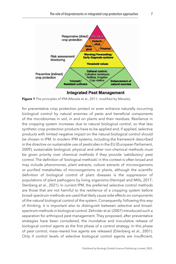<span id="page-7-0"></span>

**Figure 1** The principles of IPM ([Meissle et al., 2011](#page-26-2); modified by Meissle).

for preventative crop protection protect or even enhance naturally occurring biological control by natural enemies of pests and beneficial components of the microbiomes in soil, in and on plants and their residues. Resilience in the cropping system increases due to natural biological control, so that less synthetic crop protection products have to be applied and, if applied, selective products with limited negative impact on the natural biological control should be chosen in IPM. In modern IPM systems, including the framework described in the directive on sustainable use of pesticides in the EU ([European Parliament,](#page-25-0) [2009\)](#page-25-0), sustainable biological, physical and other non-chemical methods must be given priority over chemical methods if they provide 'satisfactory' pest control. The definition of 'biological methods' in this context is often broad and may include pheromones, plant extracts, culture extracts of microorganisms or purified metabolites of microorganisms or plants, although the scientific definition of biological control of plant diseases is the suppression of populations of plant pathogens by living organisms [\(Heimpel and Mills, 2017](#page-25-3); [Stenberg et al., 2021](#page-27-4)). In current IPM, the preferred selective control methods are those that are not harmful to the resilience of a cropping system before broad-spectrum methods are used that likely cause side effects on components of the natural biological control of the system. Consequently, following this way of thinking, it is important also to distinguish between selective and broadspectrum methods in biological control. [Zehnder et al. \(2007\)](#page-28-4) introduced such a separation for arthropod pest management. They proposed, after preventative strategies have been considered, the inundative and inoculative release of biological control agents as the first phase of a control strategy. In this phase of pest control, mass-reared live agents are released ([Eilenberg et al., 2001](#page-25-4)). Only if control levels of selective biological control agents are insufficient,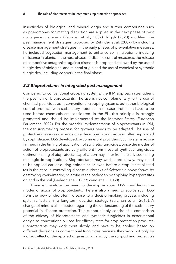insecticides of biological and mineral origin and further compounds such as pheromones for mating disruption are applied in the next phase of pest management strategy ([Zehnder et al., 2007\)](#page-28-4). [Niggli \(2020\)](#page-26-3) modified the pest management strategies proposed by [Zehnder et al. \(2007\)](#page-28-4) by including disease management strategies. In the early phases of preventative measures, he included vegetation management to enhance soil microbiome inducing resistance in plants. In the next phases of disease control measures, the release of competitive antagonists against diseases is proposed, followed by the use of fungicides of biological and mineral origin and the use of chemical or synthetic fungicides (including copper) in the final phase.

#### *3.2 Bioprotectants in integrated pest management*

Compared to conventional cropping systems, the IPM approach strengthens the position of bioprotectants. The use is not complementary to the use of chemical pesticides as in conventional cropping systems, but rather biological control products with satisfactory potential in disease protection have to be used before chemicals are considered. In the EU, this principle is strongly promoted and should be implemented by the Member States ([European](#page-25-0)  [Parliament, 2009](#page-25-0)). For the broader implementation of bioprotectants in IPM, the decision-making process for growers needs to be adapted. The use of protective measures depends on a decision-making process, often supported by sophisticated DSS developed by commercial providers. Such systems advise farmers in the timing of application of synthetic fungicides. Since the modes of action of bioprotectants are very different from those of synthetic fungicides, optimum timing of bioprotectant application may differ from the advised timing of fungicide applications. Bioprotectants may work more slowly, may need to be applied earlier during epidemics or even before a crop is established (as is the case in controlling disease outbreaks of *Sclerotinia sclerotiorum* by destroying overwintering sclerotia of the pathogen by applying hyperparasites on and in the soil [\(Gerlagh et al., 1999;](#page-25-5) [Zeng et al., 2012\)](#page-28-5)).

There is therefore the need to develop adapted DSS considering the modes of action of bioprotectants. There is also a need to evolve such DSS from the view of short-term disease to a decision-making process including systemic factors in a long-term decision strategy ([Barzman et al., 2015\)](#page-23-1). A change of mind is also needed regarding the understanding of the satisfactory potential in disease protection. This cannot simply consist of a comparison of the efficacy of bioprotectants and synthetic fungicides in experimental design as conventionally used for efficacy tests for crop protection products. Bioprotectants may work more slowly, and have to be applied based on different decisions as conventional fungicides because they work not only by a direct effect of the applied organism but also by the support and protection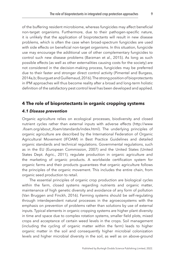of the buffering resident microbiome, whereas fungicides may affect beneficial non-target organisms. Furthermore, due to their pathogen-specific nature, it is unlikely that the application of bioprotectants will result in new disease problems, which is often the case when broad-spectrum fungicides are used with side effects on beneficial non-target organisms. In this situation, fungicide use may encourage the additional use of other complementary fungicides to control such new disease problems ([Barzman et al., 2015\)](#page-23-1). As long as such possible effects (as well as other externalities causing costs for the society) are not considered in the decision-making process, fungicides may be preferred due to their faster and stronger direct control activity [\(Pimentel and Burgess,](#page-27-2)  [2014a,](#page-27-2)[b;](#page-27-3) [Bourguet and Guillemaud, 2016](#page-24-2)). The strong position of bioprotectants in IPM approaches will thus become reality after a broad and long-term holistic definition of the satisfactory pest control level has been developed and applied.

# <span id="page-9-0"></span>**[4 The role of bioprotectants in organic cropping systems](#page-1-4)**

#### *4.1 Disease prevention*

Organic agriculture relies on ecological processes, biodiversity and closed nutrient cycles rather than external inputs with adverse effects (http://www .ifoam.org/about\_ifoam/standards/index.html). The underlying principles of organic agriculture are described by the International Federation of Organic Agricultural Movement (IFOAM) in Best Practice Guidelines and detailed organic standards and technical regulations. Governmental regulations, such as in the EU [\(European Commission, 2007\)](#page-25-6) and the United States (United States Dept. Agric., [2011\)](#page-28-6), regulate production in organic agriculture and the marketing of organic products. A worldwide certification system for organic farms and their products guarantees that organic agriculture follows the principles of the organic movement. This includes the entire chain, from organic seed production to retail.

The essential principles of organic crop production are biological cycles within the farm, closed systems regarding nutrients and organic matter, maintenance of high genetic diversity and avoidance of any form of pollution ([Van Bruggen and Finckh, 2016](#page-28-7)). Farming systems should be self-regulating through interdependent natural processes in the agroecosystems with the emphasis on prevention of problems rather than solutions by use of external inputs. Typical elements in organic cropping systems are higher plant diversity in time and space due to complex rotation systems, smaller field plots, mixed crops and acceptance of certain weed levels in the crops. Soil management (including the cycling of organic matter within the farm) leads to higher organic matter in the soil and consequently higher microbial colonization levels and higher microbial diversity in the soil, as well as on above-ground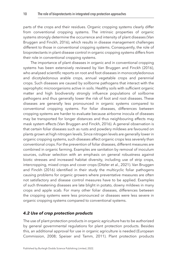parts of the crops and their residues. Organic cropping systems clearly differ from conventional cropping systems. The intrinsic properties of organic systems strongly determine the occurrence and intensity of plant diseases ([Van](#page-28-7)  [Bruggen and Finckh, 2016\)](#page-28-7), which results in disease management challenges different to those in conventional cropping systems. Consequently, the role of bioprotectants in plant disease control in organic cropping systems differs from their role in conventional cropping systems.

The importance of plant diseases in organic and in conventional cropping systems has been extensively reviewed by [Van Bruggen and Finckh \(2016\),](#page-28-7) who analysed scientific reports on root and foot diseases in monocotyledonous and dicotyledonous arable crops, annual vegetable crops and perennial crops. Such diseases are caused by soilborne pathogens that interact with the saprophytic microorganisms active in soils. Healthy soils with sufficient organic matter and high biodiversity strongly influence populations of soilborne pathogens and thus generally lower the risk of foot and root diseases. These diseases are generally less pronounced in organic systems compared to conventional cropping systems. For foliar diseases, differences between cropping systems are harder to evaluate because airborne inocula of diseases may be transported for longer distances and thus neighbouring effects may mask system effects [\(Van Bruggen and Finckh, 2016\)](#page-28-7). A general observation is that certain foliar diseases such as rusts and powdery mildews are favoured on plants grown at high nitrogen levels. Since nitrogen levels are generally lower in organic cropping systems, such diseases affect organic crops less severely than conventional crops. For the prevention of foliar diseases, different measures are combined in organic farming. Examples are sanitation by removal of inoculum sources, cultivar selection with an emphasis on general robustness against biotic stresses and increased habitat diversity, including use of strip crops, intercropping, mixed crops and cover crops ([Ditzler et al., 2021](#page-24-4)). [Van Bruggen](#page-28-7)  [and Finckh \(2016\)](#page-28-7) identified in their study the multicyclic foliar pathogens causing problems for organic growers where preventative measures are often not satisfactory and disease control measures have to be applied. Examples of such threatening diseases are late blight in potato, downy mildews in many crops and apple scab. For many other foliar diseases, differences between the cropping systems were less pronounced or diseases were less severe in organic cropping systems compared to conventional systems.

## *4.2 Use of crop protection products*

The use of plant protection products in organic agriculture has to be authorized by general governmental regulations for plant protection products. Besides this, an additional approval for use in organic agriculture is needed ([European](#page-25-7)  [Commission, 2008](#page-25-7); [Speiser and Tamm, 2011\)](#page-27-5). Plant protection products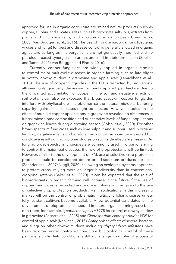approved for use in organic agriculture are 'mined natural products' such as copper, sulphur and silicates, salts such as bicarbonate salts, oils, extracts from plants and microorganisms, and microorganisms [\(European Commission,](#page-25-7) [2008;](#page-25-7) [Van Bruggen et al., 2016\)](#page-28-8). The use of living microorganisms (bacteria, viruses and fungi) for pest and disease control is generally allowed in organic agriculture as long as microorganisms are not genetically modified and no petroleum-based synergists or carriers are used in their formulation (Speiser and Tamm, 2021; [Van Bruggen and Finckh, 2016](#page-28-7)).

Currently, copper fungicides are widely applied in organic farming to control major multicyclic diseases in organic farming such as late blight in potato, downy mildew in grapevine and apple scab ([Lamichhane et al.,](#page-26-4) [2018](#page-26-4)). The use of copper fungicides in the EU is restricted by regulations, allowing only gradually decreasing amounts applied per hectare due to the unwanted accumulation of copper in the soil and negative effects on soil biota. It can also be expected that broad-spectrum copper fungicides interfere with phyllosphere microbiomes so the natural microbial buffering capacity against foliar diseases might be affected. However, studies on the effect of multiple copper applications in grapevine revealed no differences in fungal microbiome composition and quantitative levels of fungal populations on grapevine leaves during a growing season ([Gobbi et al., 2020\)](#page-25-8). For other broad-spectrum fungicides such as lime sulphur and sulphur used in organic farming, negative effects on beneficial microorganisms can be expected but conclusive results of microbiome studies on such side effects are missing. As long as broad-spectrum fungicides are commonly used in organic farming to control the major leaf diseases, the role of bioprotectants will be limited. However, similar to the development of IPM, use of selective crop protection products should be considered before broad-spectrum products are used ([Zehnder et al., 2007](#page-28-4); [Niggli, 2020\)](#page-26-3), following an ecological systems approach to protect crops, relying more on larger biodiversity than in conventional cropping systems ([Baker et al., 2020\)](#page-23-2). It can be expected that the role of bioprotectants in organic farming will increase in the future if the use of copper fungicides is restricted and more emphasis will be given to the use of selective crop protection products. Main applications in this increasing market will be the control of problematic multicyclic foliar diseases unless fully resistant cultivars become available. A few potential candidates for the development of bioprotectants needed in future organic farming have been described, for example, *Lysobacter capsici* AZ778 for control of downy mildew in grapevine ([Segarra et al., 2015\)](#page-27-6) and *Cladosporium cladosporioides* H39 for control of apple scab ([Köhl et al., 2015\)](#page-26-5). Antagonistic effects of several bacteria and fungi on other downy mildews including *Phytophthora infestans* have been reported under controlled conditions but biological control of these pathogens under field conditions is still a challenge. Examples of successful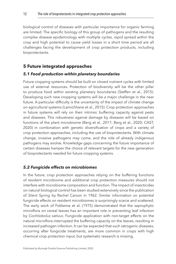biological control of diseases with particular importance for organic farming are limited. The specific biology of this group of pathogens and the resulting complex disease epidemiology with multiple cycles, rapid spread within the crop and high potential to cause yield losses in a short time period are all challenges facing the development of crop protection products, including bioprotectants.

# <span id="page-12-0"></span>**[5 Future integrated approaches](#page-1-5)**

#### *5.1 Food production within planetary boundaries*

Future cropping systems should be built on closed nutrient cycles with limited use of external resources. Protection of biodiversity will be the other pillar to produce food within existing planetary boundaries [\(Steffen et al., 2015](#page-27-1)). Developing such new cropping systems will be a major challenge in the near future. A particular difficulty is the uncertainty of the impact of climate change on agricultural systems ([Lamichhane et al., 2015](#page-26-6)). Crop protection approaches in future systems will rely on their intrinsic buffering capacity against pests and diseases. This robustness against damage by diseases will be based on functions of the plant microbiome ([Berg et al., 2017;](#page-23-6) [Berg et al., 2020](#page-23-5); CAST, [2020\)](#page-24-1) in combination with genetic diversification of crops and a variety of crop protection approaches, including the use of bioprotectants. With climate change, invasive pathogens may come, and the role of already indigenous pathogens may evolve. Knowledge gaps concerning the future importance of certain diseases hamper the choice of relevant targets for the new generation of bioprotectants needed for future cropping systems.

#### *5.2 Fungicide effects on microbiomes*

In the future, crop protection approaches relying on the buffering functions of resident microbiome and additional crop protection measures should not interfere with microbiome composition and function. The impact of insecticides on natural biological control has been studied extensively since the publication of *Silent Spring* by Rachel Carson in 1962. Similar information on potential fungicide effects on resident microbiomes is surprisingly scarce and scattered. The early work of [Fokkema et al. \(1975\)](#page-25-9) demonstrated that the saprophytic microflora on cereal leaves has an important role in preventing leaf infection by *Cochliobolus sativus*. Fungicide application with non-target effects on the natural microflora interrupted the buffering capacity on the leaves, resulting in increased pathogen infection. It can be expected that such iatrogenic diseases, occurring after fungicide treatments, are more common in crops with high chemical crop protection input, but systematic research is missing.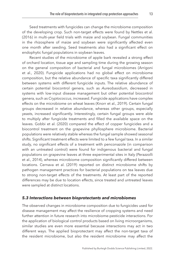Seed treatments with fungicides can change the microbiome composition of the developing crop. Such non-target effects were found by [Nettles et al.](#page-26-7) [\(2016\)](#page-26-7) in multi-year field trials with maize and soybean. Fungal communities in the rhizosphere of maize and soybean were significantly affected even one month after seeding. Seed treatments also had a significant effect on endophytic fungal populations in soybean leaves.

Recent studies of the microbiome of apple bark revealed a strong effect of orchard location, tissue age and sampling time during the growing season on the general composition of bacterial and fungal microbiomes [\(Arrigoni](#page-23-7)  [et al., 2020](#page-23-7)). Fungicide applications had no global effect on microbiome composition, but the relative abundance of specific taxa significantly differed between systems with different fungicide inputs. The relative abundance of certain potential biocontrol genera, such as *Aureobasidium*, decreased in systems with low-input disease management but other potential biocontrol genera, such as *Cryptococcus*, increased. Fungicide applications have complex effects on the microbiome on wheat leaves [\(Knorr et al., 2019](#page-25-10)). Certain fungal groups decreased in relative abundance, whereas other groups, especially yeasts, increased significantly. Interestingly, certain fungal groups were able to multiply after fungicide treatments and filled the available space on the leaves. [Gobbi et al. \(2020\)](#page-25-8) compared the effect of copper fungicides and a biocontrol treatment on the grapevine phyllosphere microbiome. Bacterial populations were relatively stable whereas the fungal sample showed seasonal shifts. Significant treatment effects were limited to a few fungal taxa. In a similar study, no significant effects of a treatment with penconazole (in comparison with an untreated control) were found for indigenous bacterial and fungal populations on grapevine leaves at three experimental sites in Italy [\(Perazzolli](#page-27-7)  [et al., 2014](#page-27-7)), whereas microbiome composition significantly differed between locations. [Cernava et al. \(2019\)](#page-24-5) reported on distinct microbiome shifts by pathogen management practices for bacterial populations on tea leaves due to strong non-target effects of the treatments. At least part of the reported differences may be due to location effects, since treated and untreated leaves were sampled at distinct locations.

#### *5.3 Interactions between bioprotectants and microbiomes*

The observed changes in microbiome composition due to fungicides used for disease management may affect the resilience of cropping systems and need further attention in future research into microbiome-pesticide interactions. For the application of biological control products based on living microorganisms, similar studies are even more essential because interactions may act in two different ways. The applied bioprotectant may affect the non-target taxa of the resident microbiome, but also the resident microbiome may affect the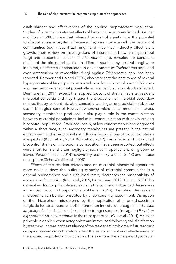establishment and effectiveness of the applied bioprotectant population. Studies of potential non-target effects of biocontrol agents are limited. Brimner and Boland [\(2003](#page-24-6)) state that released biocontrol agents have the potential to disrupt entire ecosystems because they can interfere with the native soil communities (e.g. mycorrhizal fungi) and thus may indirectly affect plant growth. Their review on investigations of interactions between mycorrhizal fungi and biocontrol isolates of *Trichoderma* spp. revealed no consistent effects of the biocontrol strains. In different studies, mycorrhizal fungi were inhibited, unaffected or stimulated in development by *Trichoderma* spp., and even antagonism of mycorrhizal fungi against *Trichoderma* spp. has been reported. Brimner and Boland ([2003\)](#page-24-6) also state that the host range of several hyperparasites of fungal pathogens used in biological control is not fully known and may be broader so that potentially non-target fungi may also be affected. [Deising et al. \(2017\)](#page-24-7) expect that applied biocontrol strains may alter resident microbial consortia and may trigger the production of microbial secondary metabolites by resident microbial consortia, causing an unpredictable risk of the use of biological control. However, wherever microbial communities interact, secondary metabolites produced in situ play a role in the communication between microbial populations, including communication with newly arriving biocontrol populations. Produced locally, at low concentrations and degraded within a short time, such secondary metabolites are present in the natural environment and no additional risk following applications of biocontrol strains is expected ([Koch et al., 2018;](#page-25-11) [Köhl et al., 2019\)](#page-26-8). Partial effects of introduced biocontrol strains on microbiome composition have been reported, but effects were short term and often negligible, such as in applications on grapevine leaves ([Perazzolli et al., 2014](#page-27-7)), strawberry leaves [\(Sylla et al., 2013](#page-28-9)) and lettuce rhizosphere [\(Scherwinski et al., 2008\)](#page-27-8).

Effects of the resident microbiome on microbial biocontrol agents are more obvious since the buffering capacity of microbial communities is a general phenomenon and a rich biodiversity decreases the susceptibility of ecosystems for invasion [\(Köhl et al., 2019;](#page-26-8) [Lugtenberg, 2018;](#page-26-9) [Tilman, 1999](#page-28-10)). This general ecological principle also explains the commonly observed decrease in introduced biocontrol populations ([Köhl et al., 2019\)](#page-26-8). The role of the resident microbiome can be demonstrated by a 'de-coupling' experiment. Disruption of the rhizosphere microbiome by the application of a broad-spectrum fungicide led to a better establishment of an introduced antagonistic *Bacillus amyloliquefaciens* isolate and resulted in stronger suppression against *Fusarium oxysporum* f. sp. c*ucumerinum* in the rhizosphere soil ([Qiu et al., 2014\)](#page-27-9). A similar principle is applied when antagonists are introduced following soil disinfection by steaming. Increasing the resilience of the resident microbiome in future robust cropping systems may therefore affect the establishment and effectiveness of the applied bioprotectant population. For example, the antagonist *Lysobacter*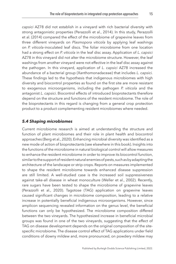*capsici* AZ78 did not establish in a vineyard with rich bacterial diversity with strong antagonistic properties [\(Perazzolli et al., 2014\)](#page-27-7). In this study, [Perazzolli](#page-27-7) [et al. \(2014\)](#page-27-7) compared the effect of the microbiome of grapevine leaves from three different vineyards on *Plasmopora viticola* by applying leaf washings on *P. viticola*-inoculated leaf discs. The foliar microbiome from one location had a strong effect on *P. viticola* in the leaf disc assay. Application of *L. capsici* AZ78 in this vineyard did not alter the microbiome structure. However, the leaf washings from another vineyard were not effective in the leaf disc assay against the pathogen. In this vineyard, application of *L. capsici* AZ78 increased the abundance of a bacterial group (Xanthomonadaceae) that includes *L. capsici.* These findings led to the hypothesis that indigenous microbiomes with high diversity and biocontrol properties as found on the first site are more resistant to exogenous microorganisms, including the pathogen *P. viticola* and the antagonist *L. capsici*. Biocontrol effects of introduced bioprotectants therefore

depend on the structure and functions of the resident microbiome. The role of the bioprotectants in this regard is changing from a general crop protection product to a product complementing resident microbiomes where needed.

#### *5.4 Shaping microbiomes*

Current microbiome research is aimed at understanding the structure and function of plant microbiomes and their role in plant health and biocontrol approaches ([Berg et al., 2020](#page-23-5)). Enhancing microbial diversity was identified as a new mode of action of bioprotectants (see elsewhere in this book). Insights into the functions of the microbiome in natural biological control will allow measures to enhance the resident microbiome in order to improve its biocontrol function, similar to the support of resident natural enemies of pests, such as by adapting the architecture of the landscape or strip crops. Reports on measures implemented to shape the resident microbiome towards enhanced disease suppression are still limited. A well-studied case is the increased soil suppressiveness against take-all disease in wheat monoculture [\(Weller et al., 2002](#page-28-11)). Recently, rare sugars have been tested to shape the microbiome of grapevine leaves ([Perazzolli et al., 2020\)](#page-27-10). Tagotose (TAG) application on grapevine leaves caused significant changes in microbiome composition, leading to a relative increase in potentially beneficial indigenous microorganisms. However, since amplicon sequencing revealed information on the genus level, the beneficial functions can only be hypothesized. The microbiome composition differed between the two vineyards. The hypothesized increase in beneficial microbial groups was found in one of the two vineyards, suggesting that the effect of TAG on disease development depends on the original composition of the sitespecific microbiome. The disease control effect of TAG applications under field conditions of downy mildew and, more pronounced, on powdery mildew may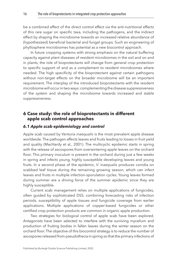be a combined effect of the direct control effect via the anti-nutritional effects of this rare sugar on specific taxa, including the pathogens, and the indirect effect by shaping the microbiome towards an increased relative abundance of (hypothesized) beneficial bacterial and fungal groups. Such an engineering of phyllosphere microbiomes has potential as a new biocontrol approach.

In future cropping systems with strong emphasis on the natural buffering capacity against plant diseases of resident microbiomes in the soil and on and in plants, the role of bioprotectants will change from general crop protection to specific support of and as a complement to resident microbiomes where needed. The high specificity of the bioprotectant against certain pathogens without non-target effects on the broader microbiome will be an important requirement. The interplay of the introduced bioprotectants with the resident microbiome will occur in two ways: complementing the disease suppressiveness of the system and shaping the microbiome towards increased and stable suppressiveness.

# <span id="page-16-0"></span>**[6 Case study: the role of bioprotectants in different](#page-1-6)  [apple scab control approaches](#page-1-6)**

# *6.1 Apple scab epidemiology and control*

Apple scab caused by *Venturia inaequalis* is the most prevalent apple disease worldwide. The pathogen affects leaves and fruits leading to losses in fruit yield and quality [\(MacHardy et al., 2001\)](#page-26-10). The multicyclic epidemic starts in spring with the release of ascospores from overwintering apple leaves on the orchard floor. This primary inoculum is present in the orchard during just a few weeks in spring and infects young, highly susceptible developing leaves and young fruits. In a second phase of the epidemic, *V. inaequalis* produces conidia on scabbed leaf tissue during the remaining growing season, which can infect leaves and fruits in multiple infection-sporulation cycles. Young leaves formed during summer are a driving force of the summer epidemic since they are highly susceptible.

Current scab management relies on multiple applications of fungicides, often guided by sophisticated DSS, combining forecasting risks of infection periods, susceptibility of apple tissues and fungicide coverage from earlier applications. Multiple applications of copper-based fungicides or other certified crop protection products are common in organic apple production.

Two strategies for biological control of apple scab have been explored. Antagonists have been selected to interfere with the surviving mycelium and production of fruiting bodies in fallen leaves during the winter season on the orchard floor. The objective of this biocontrol strategy is to reduce the number of ascospores released from pseudothecia in spring so that the primary infections of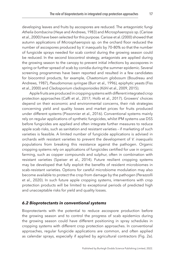developing leaves and fruits by ascospores are reduced. The antagonistic fungi *Athelia bombacina* ([Heye and Andrews, 1983](#page-25-12)) and *Microsphaeropsis* sp. ([Carisse](#page-24-8)  [et al., 2000\)](#page-24-8) have been selected for this purpose. [Carisse et al. \(2000\)](#page-24-8) showed that autumn applications of *Microsphaeropsis* sp. on the orchard floor reduced the number of ascospores produced by *V. inaequalis* by 70–80% so that the number of fungicide sprays needed for scab control during the growing season could be reduced. In the second biocontrol strategy, antagonists are applied during the growing season to the canopy to prevent initial infections by ascospores in spring or further spread of scab by conidia during the summer epidemic. Several screening programmes have been reported and resulted in a few candidates for biocontrol products, for example, *Chaetomium globosum* ([Boudreau and](#page-24-9)  [Andrews, 1987](#page-24-9)), *Pseudomonas syringae* [\(Burr et al., 1996\)](#page-24-10), epiphytic yeasts [\(Fiss](#page-25-13) [et al., 2000\)](#page-25-13) and *Cladosporium cladosporioides* [\(Köhl et al., 2009](#page-26-11), [2015\)](#page-26-5).

Apple fruits are produced in cropping systems with different integrated crop protection approaches ([Caffi et al., 2017](#page-24-11); [Holb et al., 2017\)](#page-25-14). Growers' choices depend on their economic and environmental concerns, their risk strategies concerning yield and quality losses and market prices for fruits produced under different systems [\(Pissonnier et al., 2016\)](#page-27-11). Conventional systems mainly rely on regular applications of synthetic fungicides, whilst IPM systems use DSS before fungicides are applied and often integrate further measures to reduce apple scab risks, such as sanitation and resistant varieties – if marketing of such varieties is feasible. A limited number of fungicide applications is advised in orchards with resistant varieties to prevent the development of *V. inaequalis* populations from breaking this resistance against the pathogen. Organic cropping systems rely on applications of fungicides certified for use in organic farming, such as copper compounds and sulphur, often in combination with resistant varieties ([Speiser et al., 2014\)](#page-27-12). Future resilient cropping systems may be developed that fully exploit the benefits of resident microbiomes in scab-resistant varieties. Options for careful microbiome modulation may also become available to protect the crop from damage by the pathogen [\(Perazzolli](#page-27-10) [et al., 2020](#page-27-10)). In such future apple cropping systems, interventions with crop protection products will be limited to exceptional periods of predicted high and unacceptable risks for yield and quality losses.

#### *6.2 Bioprotectants in conventional systems*

Bioprotectants with the potential to reduce ascospore production before the growing season and to control the progress of scab epidemics during the growing season could have different positioning in spray schedules in cropping systems with different crop protection approaches. In conventional approaches, regular fungicide applications are common, and often applied as calendar sprays, especially if applied by agricultural contractors ([Fig. 2a](#page-18-0)).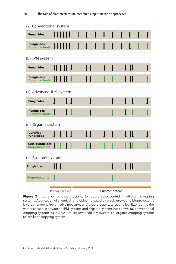<span id="page-18-0"></span>

| (a) Conventional system                          |                |              |               |    |              |              |   |              |      |  |  |
|--------------------------------------------------|----------------|--------------|---------------|----|--------------|--------------|---|--------------|------|--|--|
| <b>Fungicides</b>                                |                |              | I             | I  | I            | $\mathbf l$  | I | 1            |      |  |  |
| Fungicides                                       |                |              | $\mathbf{l}$  | 1  | $\mathbf{l}$ | $\mathbf{I}$ | 1 | $\mathsf{l}$ | I    |  |  |
| (b) IPM system                                   |                |              |               |    |              |              |   |              |      |  |  |
| <b>Fungicides</b>                                |                |              |               | П  |              | $\bf{l}$     | I |              | l II |  |  |
| <b>Fungicides</b><br><b>Bioprotectants</b>       |                |              |               | 11 |              |              |   |              | l II |  |  |
| (c) Advanced IPM system                          |                |              |               |    |              |              |   |              |      |  |  |
| <b>Fungicides</b>                                |                | I            |               | ı  |              |              |   | ı            | ı    |  |  |
| <b>Fungicides</b><br><b>Bioprotectants</b>       |                | $\mathbf{L}$ |               |    |              |              |   |              |      |  |  |
| (d) Organic system                               |                |              |               |    |              |              |   |              |      |  |  |
| <b>Certified</b><br>fungicides                   |                |              |               | П  |              |              |   |              | I II |  |  |
| <b>Cert. fungicides</b><br><b>Bioprotectants</b> |                |              |               |    |              |              |   |              | IJ   |  |  |
| (e) Resilient system                             |                |              |               |    |              |              |   |              |      |  |  |
| <b>Fungicides</b>                                | 11 I           |              |               |    |              |              |   |              | l II |  |  |
| <b>Bioprotectants</b>                            |                |              |               |    |              |              |   |              |      |  |  |
|                                                  | Primary season |              | Summer season |    |              |              |   |              |      |  |  |

Figure 2 Integration of bioprotectants for apple scab control in different cropping systems. Application of chemical fungicides indicated by black arrows and bioprotectants by green arrows. Preventative measures and bioprotectants targeting leaf litter during the winter season in advanced IPM systems and organic systems not shown. (a) conventional cropping system; (b) IPM system; (c) advanced IPM system; (d) organic cropping system; (e) resilient cropping system.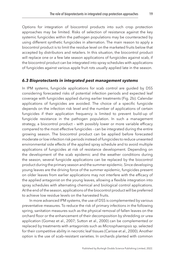Options for integration of biocontrol products into such crop protection approaches may be limited. Risks of selection of resistance against the key systemic fungicides within the pathogen populations may be counteracted by using different synthetic fungicides in alternation. The main reason to apply a biocontrol product is to limit the residue level on the marketed fruits below that accepted by distributors and retailers. In this situation, the biocontrol product will replace one or a few late season applications of fungicides against scab, if the biocontrol product can be integrated into spray schedules with applications of fungicides against various apple fruit rots usually applied late in the season.

#### *6.3 Bioprotectants in integrated pest management systems*

In IPM systems, fungicide applications for scab control are guided by DSS considering forecasted risks of potential infection periods and expected leaf coverage with fungicides applied during earlier treatments ([Fig. 2b](#page-18-0)). Calendar applications of fungicides are avoided. The choice of a specific fungicide depends on the infection risk level and the number of applications of certain fungicides if their application frequency is limited to prevent build-up of fungicide resistance in the pathogen population. In such a management strategy, a biocontrol product – with possibly lower or more variable efficacy compared to the most effective fungicides – can be integrated during the entire growing season. The biocontrol product can be applied before forecasted moderate or low infection risk periods instead of fungicides to reduce unwanted environmental side effects of the applied spray schedule and to avoid multiple applications of fungicides at risk of resistance development. Depending on the development of the scab epidemic and the weather conditions during the season, several fungicide applications can be replaced by the biocontrol product during the primary season and the summer epidemic. Since developing young leaves are the driving force of the summer epidemic, fungicides present on older leaves from earlier applications may not interfere with the efficacy of the applied antagonist on the young leaves, allowing a flexible integration into spray schedules with alternating chemical and biological control applications. At the end of the season, applications of the biocontrol product will be preferred to achieve low residue levels on the harvested fruits.

In more advanced IPM systems, the use of DSS is complemented by various preventative measures. To reduce the risk of primary infections in the following spring, sanitation measures such as the physical removal of fallen leaves on the orchard floor or the enhancement of their decomposition by shredding or urea application [\(Gomez et al., 2007](#page-25-15); [Sutton et al., 2000](#page-28-12)) can be complemented or replaced by treatments with antagonists such as *Microsphaeropsis* sp. selected for their competitive ability in necrotic leaf tissues [\(Carisse et al., 2000\)](#page-24-8). Another option is the use of scab-resistant varieties. In orchards planted with common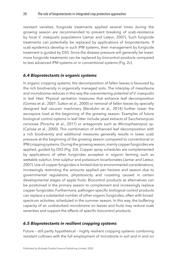resistant varieties, fungicide treatments applied several times during the growing season are recommended to prevent breaking of scab-resistance by local *V. inaequalis* populations [\(Jamar and Lateur, 2007\)](#page-25-16). Such fungicide treatments can potentially be replaced by applications of bioprotectants. If scab epidemics develop in such IPM systems, their management by fungicide treatment is guided by DSS. Since the disease pressure will generally be lower, more fungicide treatments can be replaced by biocontrol products compared to less advanced IPM systems or in conventional systems [\(Fig. 2c](#page-18-0)).

#### *6.4 Bioprotectants in organic systems*

In organic cropping systems, the decomposition of fallen leaves is favoured by the rich biodiversity in organically managed soils. The interplay of mesofauna and microbiome reduces in this way the overwintering potential of *V. inaequalis* in leaf litter. Physical sanitation measures that enhance leaf decomposition ([Gomez et al., 2007](#page-25-15); [Sutton et al., 2000\)](#page-28-12) or removal of fallen leaves by specially designed leaf vacuum machinery [\(Benduhn et al., 2014](#page-23-8)) further lower the ascospore load at the beginning of the growing season. Examples of future biological control options in leaf litter include yeast extracts of *Saccharomyces cerivisiae* ([Porsche et al., 2017\)](#page-27-13) or antagonists such as *Microsphaeropsis* sp. ([Carisse et al., 2000\)](#page-24-8). This combination of enhanced leaf decomposition with a rich biodiversity and additional measures generally results in lower scab pressure at the beginning of the growing season compared to conventional or IPM cropping systems. During the growing season, mainly copper fungicides are applied, guided by DSS [\(Fig. 2d](#page-18-0)). Copper spray schedules are complemented by applications of other fungicides accepted in organic farming such as wettable sulphur, lime sulphur and potassium bicarbonates [\(Jamar and Lateur,](#page-25-16)  [2007\)](#page-25-16). Use of copper fungicides is limited due to environmental considerations, increasingly restricting the amounts applied per hectare and season due to governmental regulations, phytotoxicity and russeting caused in certain developmental stages of apple fruits. Biocontrol products as alternatives can be positioned in the primary season to complement and increasingly replace copper fungicides. Furthermore, pathogen-specific biological control products can replace a substantial number of other organic fungicides, often with broadspectrum activities, scheduled in the summer season. In this way, the buffering capacity of an undisturbed microbiome on leaves and fruits may reduce scab severities and support the effects of specific biocontrol products.

#### *6.5 Bioprotectants in resilient cropping systems*

Future – still partly hypothetical – highly resilient cropping systems combining resistant cultivars with the full employment of microbiota in soil and in and on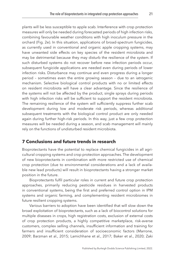plants will be less susceptible to apple scab. Interference with crop protection measures will only be needed during forecasted periods of high infection risks, combining favourable weather conditions with high inoculum pressure in the orchard ([Fig. 2e\)](#page-18-0). In this situation, applications of broad-spectrum fungicides, as currently used in conventional and organic apple cropping systems, may have unwanted side effects on key species of the resident microbiota and may be detrimental because they may disturb the resilience of the system. If such disturbed systems do not recover before new infection periods occur, subsequent fungicide applications are needed even during periods of lower infection risks. Disturbance may continue and even progress during a longer period – sometimes even the entire growing season – due to an iatrogenic mechanism. Selective biological control products with no or limited effects on resident microbiota will have a clear advantage. Since the resilience of the systems will not be affected by the product, single sprays during periods with high infection risks will be sufficient to support the resident microbiota. The remaining resilience of the system will sufficiently suppress further scab development during low and moderate risk periods, whereas additional subsequent treatments with the biological control product are only needed again during further high-risk periods. In this way, just a few crop protection measures will be needed during a season, and scab management will mainly rely on the functions of undisturbed resident microbiota.

# <span id="page-21-0"></span>**[7 Conclusions and future trends in research](#page-1-7)**

Bioprotectants have the potential to replace chemical fungicides in all agricultural cropping systems and crop protection approaches. The development of new bioprotectants in combination with more restricted use of chemical crop protection (due to environmental considerations and a lack of available new lead products) will result in bioprotectants having a stronger market position in the future.

Bioprotectants fulfil particular roles in current and future crop protection approaches, primarily reducing pesticide residues in harvested products in conventional systems, being the first and preferred control option in IPM systems and organic farming, and complementing resident microbiomes in future resilient cropping systems.

Various barriers to adoption have been identified that will slow down the broad exploitation of bioprotectants, such as a lack of biocontrol solutions for multiple diseases in crops, high registration costs, exclusion of external costs of crop protection products, a highly competitive marketplace, risk-averse customers, complex selling channels, insufficient information and training for farmers and insufficient consideration of socioeconomic factors ([Marrone,](#page-26-12) [2009;](#page-26-12) [Barzman et al., 2015;](#page-23-1) [Lamichhane et al., 2017](#page-26-13); [Baker et al., 2020](#page-23-2); [Zaki](#page-28-13)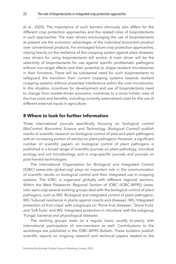[et al., 2020](#page-28-13)). The importance of such barriers obviously also differs for the different crop protection approaches and the related roles of bioprotectants in such approaches. The main drivers encouraging the use of bioprotectants at present are the economic advantages of the individual biocontrol product over conventional products. For envisaged future crop protection approaches, relying heavily on the resilience of the cropping system against plant diseases, new drivers for using bioprotectants will evolve. A main driver will be the selectivity of bioprotectants for use against specific problematic pathogens without non-target effects and their potential to shape resident microbiomes in their functions. There will be substantial need for such bioprotectants to safeguard the transition from current cropping systems towards resilient cropping systems without unwanted interference within the core microbiome. In this situation, incentives for development and use of bioprotectants need to change from market-driven economic incentives to a more holistic view of the true costs and benefits, including currently externalized costs for the use of different external inputs in agriculture.

# <span id="page-22-0"></span>**[8 Where to look for further information](#page-1-8)**

Three international journals specifically focusing on biological control (*BioControl, Biocontrol Science and Technology, Biological Control*) publish results of scientific research on biological control of pest and plant pathogens with an increasing portion of articles on plant pathogens. However, a significant number of scientific papers on biological control of plant pathogens is published in a broad range of scientific journals on plant pathology, microbial ecology and soil microbiology, and in crop-specific journals and journals on post-harvest technologies.

The International Organisation for Biological and Integrated Control (IOBC) [\(www.iobc-global.org\)](http://(www.iobc-global.org)) plays an important role in the communication of scientific results on biological control and their integrated use in cropping systems. The IOBC is organized globally with different regional sections. Within the West Palaearctic Regional Section of IOBC (IOBC-WPRS) [\(www.](http://(www.iobc-wprs.org)) [iobc-wprs.org\)](http://(www.iobc-wprs.org)) several working groups deal with the biological control of plant pathogens, such as WG 'Biological and integrated control of plant pathogens', WG 'Induced resistance in plants against insects and diseases', WG 'Integrated protection of fruit crops' with subgroups on 'Pome fruit diseases', 'Stone fruits' and 'Soft fruits', and WG 'Integrated protection in viticulture' with the subgroup 'Fungal, bacterial and physiological diseases'.

The working groups meet on a regular basis, usually bi-yearly, with international participation of non-members as well. Contributions to the workshops are published in the *IOBC-WPRS Bulletin*. These bulletins publish scientific reports on ongoing research and technical papers related to the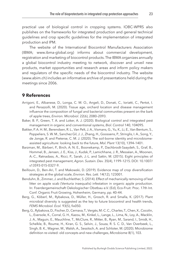practical use of biological control in cropping systems. IOBC-WPRS also publishes on the frameworks for integrated production and general technical guidelines and crop specific guidelines for the implementation of integrated production and IPM.

The website of the International Biocontrol Manufacturers Association (IBMA; [www.ibma-global.org\)](http://www.ibma-global.org)) informs about commercial development, registration and marketing of biocontrol products. The IBMA organizes annually a global biocontrol industry meeting to network, discover and unveil new products, market opportunities and research areas and inform policy makers and regulators of the specific needs of the biocontrol industry. The website [\(www.abim.ch\)](http://(www.abim.ch)) includes an informative archive of presentations held during the meetings since 2006.

# <span id="page-23-0"></span>**[9 References](#page-1-9)**

- <span id="page-23-7"></span>Arrigoni, E., Albanese, D., Longa, C. M. O., Angeli, D., Donati, C., Ioriatti, C., Pertot, I. and Perazzolli, M. (2020). Tissue age, orchard location and disease management influence the composition of fungal and bacterial communities present on the bark of apple trees, *Environ. Microbiol.* 22(6), 2080–2093.
- <span id="page-23-2"></span>Baker, B. P., Green, T. A. and Loker, A. J. (2020). Biological control and integrated pest management in organic and conventional systems, *Biol. Control* 140, 104095.
- <span id="page-23-4"></span>Bakker, P. A. H. M., Berendsen, R. L., Van Pelt, J. A., Vismans, G., Yu, K., Li, E., Van Bentum, S., Poppeliers, S. W. M., Sanchez Gil, J. J., Zhang, H., Goossens, P., Stringlis, I. A., Song, Y., de Jonge, R. and Pieterse, C. M. J. (2020). The soil-borne identity and microbiomeassisted agriculture: looking back to the future, *Mol. Plant* 13(10), 1394–1401.
- <span id="page-23-1"></span>Barzman, M., Bàrberi, P., Birch, A. N. E., Boonekamp, P., Dachbrodt-Saaydeh, S., Graf, B., Hommel, B., Jensen, J. E., Kiss, J., Kudsk, P., Lamichhane, J. R., Messéan, A., Moonen, A.-C., Ratnadass, A., Ricci, P., Sarah, J.-L. and Sattin, M. (2015). Eight principles of integrated pest management, *Agron. Sustain. Dev.* 35(4), 1199–1215. DOI: [10.1007/](http://dx.doi.org/10.1007/s13593-015-0327-9) [s13593-015-0327-9.](http://dx.doi.org/10.1007/s13593-015-0327-9)
- <span id="page-23-3"></span>Beillouin, D., Ben-Ari, T. and Makowski, D. (2019). Evidence map of crop diversification strategies at the global scale, *Environ. Res. Lett.* 14(12), 123001.
- <span id="page-23-8"></span>Benduhn, B., Zimmer, J. and Buchleither, S. (2014). Effect of mechanically removing of leaf litter on apple scab (Venturia inaequalis) infestation in organic apple production. In: Foerdergemeinschaft Oekologischer Obstbau e.V. (Ed), Eco-Fruit: Proc. 17th Int. Conf. Organic Fruit Growing, Hohenheim, Germany, pp. 40–44.
- <span id="page-23-6"></span>Berg, G., Köberl, M., Rybakova, D., Müller, H., Grosch, R. and Smalla, K. (2017). Plant microbial diversity is suggested as the key to future biocontrol and health trends, *FEMS Microbiol. Ecol.* 93(5), fix050.
- <span id="page-23-5"></span>Berg, G., Rybakova, D., Fischer, D., Cernava, T., Vergès, M.-C. C., Charles, T., Chen, X., Cocolin, L., Eversole, K., Corral, G. H., Kazou, M., Kinkel, L., Lange, L., Lima, N., Loy, A., Macklin, J. A., Maguin, E., Mauchline, T., McClure, R., Mitter, B., Ryan, M., Sarand, I., Smidt, H., Schelkle, B., Roume, H., Kiran, G. S., Selvin, J., Souza, R. S. C. D., Van Overbeek, L., Singh, B. K., Wagner, M., Walsh, A., Sessitsch, A. and Schloter, M. (2020). Microbiome definition re-visited: old concepts and new challenges, *Microbiome* 8(1), 103.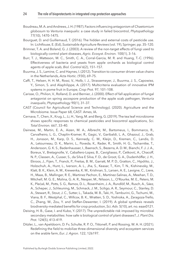- <span id="page-24-9"></span>Boudreau, M. A. and Andrews, J. H. (1987). Factors influencing antagonism of *Chaetomium globosum* to *Venturia inaequalis*: a case study in failed biocontrol, *Phytopathology* 77(10), 1470–1475.
- <span id="page-24-2"></span>Bourguet, D. and Guillemaud, T. (2016). The hidden and external costs of pesticide use. In: Lichtfouse, E. (Ed), *Sustainable Agriculture Reviews* (vol. 19), Springer, pp. 35–120.
- <span id="page-24-6"></span>Brimner, T. A. and Boland, G. J. (2003). A review of the non-target effects of fungi used to biologically control plant diseases, *Agric. Ecosyst. Environ.* 100(1), 3–16.
- <span id="page-24-10"></span>Burr, T. J., Matteson, M. C., Smith, C. A., Corral-Garcia, M. R. and Huang, T.-C. (1996). Effectiveness of bacteria and yeasts from apple orchards as biological control agents of apple scab, *Biol. Control* 6(2), 151–157.
- <span id="page-24-3"></span>Buurma, J. S., Lamine, C. and Haynes, I. (2012). Transition to consumer driven value chains in the Netherlands, *Acta Hortic.* (930), 69–75.
- <span id="page-24-11"></span>Caffi, T., Helsen, H. H. M., Rossi, V., Holb, I. J., Strassemeyer, J., Buurma, J. S., Capowiez, Y., Simon, S. and Alaphilippe, A. (2017). Multicriteria evaluation of innovative IPM systems in pome fruit in Europe, *Crop Prot.* 97, 101–108.
- <span id="page-24-8"></span>Carisse, O., Philion, V., Rolland, D. and Bernier, J. (2000). Effect of fall application of fungal antagonist on spring ascospore production of the apple scab pathogen, *Venturia inaequalis*, *Phytopathology* 90(1), 31–37.
- <span id="page-24-1"></span>CAST (Council for Agricultural Science and Technology). (2020). Agriculture and the Microbiome. Issue Paper 68, CAST: Ames, IA.
- <span id="page-24-5"></span>Cernava, T., Chen, X., Krug, L., Li, H., Yang, M. and Berg, G. (2019). The tea leaf microbiome shows specific responses to chemical pesticides and biocontrol applications, *Sci. Total Environ.* 667, 33–40.
- <span id="page-24-0"></span>Dainese, M., Martin, E. A., Aizen, M. A., Albrecht, M., Bartomeus, I., Bommarco, R., Carvalheiro, L. G., Chaplin-Kramer, R., Gagic, V., Garibaldi, L. A., Ghazoul, J., Grab, H., Jonsson, M., Karp, D. S., Kennedy, C. M., Kleijn, D., Kremen, C., Landis, D. A., Letourneau, D. K., Marini, L., Poveda, K., Rader, R., Smith, H. G., Tscharntke, T., Andersson, G. K. S., Badenhausser, I., Baensch, S., Bezerra, A. D. M., Bianchi, F. J. J. A., Boreux, V., Bretagnolle, V., Caballero-Lopez, B., Cavigliasso, P., Ćetković, A., Chacoff, N. P., Classen, A., Cusser, S., da Silva E Silva, F. D., de Groot, G. A., Dudenhöffer, J. H., Ekroos, J., Fijen, T., Franck, P., Freitas, B. M., Garratt, M. P. D., Gratton, C., Hipólito, J., Holzschuh, A., Hunt, L., Iverson, A. L., Jha, S., Keasar, T., Kim, T. N., Kishinevsky, M., Klatt, B. K., Klein, A. M., Krewenka, K. M., Krishnan, S., Larsen, A. E., Lavigne, C., Liere, H., Maas, B., Mallinger, R. E., Martinez Pachon, E., Martínez-Salinas, A., Meehan, T. D., Mitchell, M. G. E., Molina, G. A. R., Nesper, M., Nilsson, L., O'Rourke, M. E., Peters, M. K., Plećaš, M., Potts, S. G., Ramos, D. L., Rosenheim, J. A., Rundlöf, M., Rusch, A., Sáez, A., Scheper, J., Schleuning, M., Schmack, J. M., Sciligo, A. R., Seymour, C., Stanley, D. A., Stewart, R., Stout, J. C., Sutter, L., Takada, M. B., Taki, H., Tamburini, G., Tschumi, M., Viana, B. F., Westphal, C., Willcox, B. K., Wratten, S. D., Yoshioka, A., Zaragoza-Trello, C., Zhang, W., Zou, Y. and Steffan-Dewenter, I. (2019). A global synthesis reveals biodiversity-mediated benefits for crop production, *Sci. Adv.* 5(10), art. no. eaax0121.
- <span id="page-24-7"></span>Deising, H. B., Gase, I. and Kubo, Y. (2017). The unpredictable risk imposed by microbial secondary metabolites: how safe is biological control of plant diseases?, *J. Plant Dis. Prot.* 124(5), 413–419.
- <span id="page-24-4"></span>Ditzler, L., van Apeldoorn, D. Fv, Schulte, R. P. O., Tittonell, P. and Rossing, W. A. H. (2021). Redefining the field to mobilize three-dimensional diversity and ecosystem services on the arable farm, *Eur. J. Agron.* 122, 126197.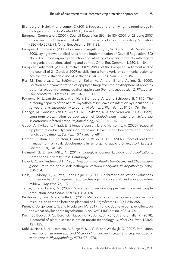- <span id="page-25-4"></span>Eilenberg, J., Hajek, A. and Lomer, C. (2001). Suggestions for unifying the terminology in biological control, *BioControl* 46(4), 387–400.
- <span id="page-25-6"></span>European Commission. (2007). Council Regulation (EC) No 834/2007 of 28 June 2007 on organic production and labelling of organic products and repealing Regulation (EEC) No 2092/91. Off. J. Eur. Union L189, 1–23.
- <span id="page-25-7"></span>European Commission. (2008). Commission regulation (EC) No 889/2008 of 5 September 2008, laying down detailed rules for the implementation of Council Regulation (EC) No 834/2007 on organic production and labelling of organic products with regard to organic production, labelling and control. Off. J. Eur. Commun. L 250/1, 1–84.
- <span id="page-25-0"></span>European Parliament. (2009). Directive 2009/128/EC of the European Parliament and of the council of 21 October 2009 establishing a framework for community action to achieve the sustainable use of pesticides, *Off. J. Eur. Union* 309, 71–86.
- <span id="page-25-13"></span>Fiss, M., Kucheryava, N., Schönherr, J., Kollar, A., Arnold, G. and Auling, G. (2000). Isolation and characterization of epiphytic fungi from the phyllosphere of apple as potential biocontrol agents against apple scab (*Venturia inaequalis*), *Z. Pflanzenkr. Pflanzenschutz J. Plant Dis. Prot.* 107(1), 1–11.
- <span id="page-25-9"></span>Fokkema, N. J., van de Laar, J. A. J., Nelis-Blomberg, A. L. and Schippers, B. (1975). The buffering capacity of the natural mycoflora of rye leaves to infection by *Cochliobolus sativus*, and its susceptibility to benomyl, *Nether. J. Plant Pathol.* 81(5), 176–186.
- <span id="page-25-5"></span>Gerlagh, M., Goossen-Van De Geijn, H. M., Fokkema, N. J. and Vereijken, P. F. G. (1999). Long-term biosanitation by application of *Coniothyrium minitans* on *Sclerotinia sclerotiorum*-infected crops, *Phytopathology* 89(2), 141–147.
- <span id="page-25-8"></span>Gobbi, A., Kyrkou, I., Filippi, E., Ellegaard-Jensen, L. and Hansen, L. H. (2020). Seasonal epiphytic microbial dynamics on grapevine leaves under biocontrol and copper fungicide treatments, *Sci. Rep.* 10(1), art. no. 681.
- <span id="page-25-15"></span>Gomez, C., Brun, L., Chauffour, D. and de Le Vallee, D. D. L. (2007). Effect of leaf litter management on scab development in an organic apple orchard, *Agri. Ecosyst. Environ.* 118(1–4), 249–255.
- <span id="page-25-3"></span>Heimpel, G. E. and Mills, N. (2017). *Biological Control—Ecology and Applications*, Cambridge University Press: Cambridge.
- <span id="page-25-12"></span>Heye, C. C. and Andrews, J. H. (1983). Antagonism of *Athelia bombacina* and *Chaetomium globosum* to the apple scab pathogen, *Venturia inaequalis*, *Phytopathology* 73(5), 650–654.
- <span id="page-25-14"></span>Holb, I. J., Abonyi, F., Buurma, J. and Heijne, B. (2017). On-farm and on-station evaluations of three orchard management approaches against apple scab and apple powdery mildew, *Crop Prot.* 97, 109–118.
- <span id="page-25-16"></span>Jamar, L. and Lateur, M. (2007). Strategies to reduce copper use in organic apple production, *Acta Hortic.* 737(737), 113–120.
- <span id="page-25-1"></span>Kerdraon, L., Laval, V. and Suffert, F. (2019). Microbiomes and pathogen survival in crop residues, an ecotone between plant and soil, *Phytobiomes J.* 3(4), 246–255.
- <span id="page-25-10"></span>Knorr, K., Jørgensen, L. N. and Nicolaisen, M. (2019). Fungicides have complex effects on the wheat phyllosphere mycobiome, *PLoS ONE* 14(3), art. no. e0213176.
- <span id="page-25-11"></span>Koch, E., Becker, J. O., Berg, G., Hauschild, R., Jehle, J., Köhl, J. and Smalla, K. (2018). Biocontrol of plant diseases is not an unsafe technology!, *J. Plant Dis. Prot.* 125(2), 121–125.
- <span id="page-25-2"></span>Köhl, J., Haas, B. H., Kastelein, P., Burgers, S. L. G. E. and Waalwijk, C. (2007). Population dynamics of *Fusarium* spp. and *Microdochium nivale* in crops and crop residues of winter wheat, *Phytopathology* 97(8), 971–978.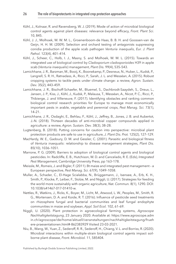- <span id="page-26-8"></span>Köhl, J., Kolnaar, R. and Ravensberg, W. J. (2019). Mode of action of microbial biological control agents against plant diseases: relevance beyond efficacy, *Front. Plant Sci.* 10, 845.
- <span id="page-26-11"></span>Köhl, J. J., Molhoek, W. W. M. L., Groenenboom-de Haas, B. B. H. and Goossen-van de Geijn, H. H. M. (2009). Selection and orchard testing of antagonists suppressing conidia production of the apple scab pathogen *Venturia inaequalis*, *Eur. J. Plant Pathol.* 123(4), 401–414.
- <span id="page-26-5"></span>Köhl, J., Scheer, C., Holb, I. J., Masny, S. and Molhoek, W. M. L. (2015). Towards an integrated use of biological control by *Cladosporium cladosporioides* H39 in apple scab (*Venturia inaequalis*) management, *Plant Dis.* 99(4), 535–543.
- <span id="page-26-6"></span>Lamichhane, J. R., Barzman, M., Booij, K., Boonekamp, P., Desneux, N., Huber, L., Kudsk, P., Langrell, S. R. H., Ratnadass, A., Ricci, P., Sarah, J. L. and Messéan, A. (2015). Robust cropping systems to tackle pests under climate change: a review, *Agron. Sustain. Dev.* 35(2), 443–459.
- <span id="page-26-13"></span>Lamichhane, J. R., Bischoff-Schaefer, M., Bluemel, S., Dachbrodt-Saaydeh, S., Dreux, L., Jansen, J. P., Kiss, J., Köhl, J., Kudsk, P., Malausa, T., Messéan, A., Nicot, P. C., Ricci, P., Thibierge, J. and Villeneuve, F. (2017). Identifying obstacles and ranking common biological control research priorities for Europe to manage most economically important pests in arable, vegetable and perennial crops, *Pest Manag. Sci.* 73(1), 14–21.
- <span id="page-26-4"></span>Lamichhane, J. R., Osdaghi, E., Behlau, F., Köhl, J., Jeffrey, B., Jones, J. B. and Aubertot, J.-N. (2018). Thirteen decades of anti-microbial copper compounds applied in agriculture: a review, *Agron. Sustain. Dev.* 38(3), 38–28.
- <span id="page-26-9"></span>Lugtenberg, B. (2018). Putting concerns for caution into perspective: microbial plant protection products are safe to use in agriculture, *J. Plant Dis. Prot.* 125(2), 127–129.
- <span id="page-26-10"></span>MacHardy, W. E., Gadoury, D. M. and Gessler, C. (2001). Parasitic and biological fitness of *Venturia inaequalis*: relationship to disease management strategies, *Plant Dis.* 85(10), 1036–1051.
- <span id="page-26-12"></span>Marrone, P. G. (2009). Barriers to adoption of biological control agents and biological pesticides. In: Radcliffe, E. B., Hutchison, W. D. and Cancelado, R. E. (Eds), *Integrated Pest Management*, Cambridge University Press, pp 163–178.
- <span id="page-26-2"></span>Meissle, M., Romeis, J. and Bigler, F. (2011). Bt maize and integrated pest management – a European perspective, *Pest Manag. Sci.* 67(9), 1049–1058.
- <span id="page-26-0"></span>Muller, A., Schader, C., El-Hage Scialabba, N., Brüggemann, J., Isensee, A., Erb, K. H., Smith, P., Klocke, P., Leiber, F., Stolze, M. and Niggli, U. (2017). Strategies for feeding the world more sustainably with organic agriculture, *Nat. Commun.* 8(1), 1290. DOI: [10.1038/s41467-017-01410-w.](http://dx.doi.org/10.1038/s41467-017-01410-w)
- <span id="page-26-7"></span>Nettles, R., Watkins, J., Ricks, K., Boyer, M., Licht, M., Atwood, L. W., Peoples, M., Smith, R. G., Mortensen, D. A. and Koide, R. T. (2016). Influence of pesticide seed treatments on rhizosphere fungal and bacterial communities and leaf fungal endophyte communities in maize and soybean, *Appl. Soil Ecol.* 102, 61–69.
- <span id="page-26-3"></span>Niggli, U. (2020). Plant protection in agroecological farming systems, *Agroscope Nachhaltigkeitstagung*, 23 January 2020. Available at: [https://www.agroscope.adm](https://www.agroscope.admin.ch/agroscope/de/home/aktuell/veranstaltungen/nachhaltigkeitstagung/fruehere-praesentationen.html#-862383929) [in.ch /agro scope /de/h ome/a ktuel l/ver ansta ltung en/na chhal tigke itsta gung/ frueh](https://www.agroscope.admin.ch/agroscope/de/home/aktuell/veranstaltungen/nachhaltigkeitstagung/fruehere-praesentationen.html#-862383929) [ere-praesentationen.html#-862383929](https://www.agroscope.admin.ch/agroscope/de/home/aktuell/veranstaltungen/nachhaltigkeitstagung/fruehere-praesentationen.html#-862383929) Visited 23-03-2021.
- <span id="page-26-1"></span>Niu, B., Wang, W., Yuan, Z., Sederoff, R. R., Sederoff, H., Chiang, V. L. and Borriss, R. (2020). Microbial interactions within multiple-strain biological control agents impact soilborne plant disease, *Front. Microbiol.* 11, 585404.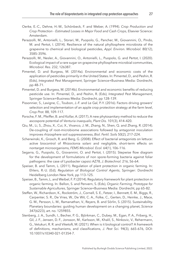- <span id="page-27-0"></span>Oerke, E.-C., Dehne, H.-W., Schönbeck, F. and Weber, A. (1994). *Crop Production and Crop Protection - Estimated Losses in Major Food and Cash Crops*, Elsevier Science: Amsterdam.
- <span id="page-27-7"></span>Perazzolli, M., Antonielli, L., Storari, M., Puopolo, G., Pancher, M., Giovannini, O., Pindo, M. and Pertot, I. (2014). Resilience of the natural phyllosphere microbiota of the grapevine to chemical and biological pesticides, *Appl. Environ. Microbiol.* 80(12), 3585–3596.
- <span id="page-27-10"></span>Perazzolli, M., Nesler, A., Giovannini, O., Antonielli, L., Puopolo, G. and Pertot, I. (2020). Ecological impact of a rare sugar on grapevine phyllosphere microbial communities, *Microbiol. Res.* 232, 126387.
- <span id="page-27-2"></span>Pimentel, D. and Burgess, M. (2014a). Environmental and economic costs of the application of pesticides primarily in the United States. In: Pimentel, D., and Peshin, R. (Eds), *Integrated Pest Management*, Springer Science+Business Media: Dordrecht, pp 48–71.
- <span id="page-27-3"></span>Pimentel, D. and Burgess, M. (2014b). Environmental and economic benefits of reducing pesticide use. In: Pimentel, D., and Peshin, R. (Eds), *Integrated Pest Management*, Springer Science+Business Media: Dordrecht, pp 128–139.
- <span id="page-27-11"></span>Pissonnier, S., Lavigne, C., Toubon, J.-F. and Le Gal, P.-Y. (2016). Factors driving growers' selection and implementation of an apple crop protection strategy at the farm level, *Crop Prot.* 88, 109–117.
- <span id="page-27-13"></span>Porsche, F. M., Pfeiffer, B. and Kollar, A. (2017). A new phytosanitary method to reduce the ascospore potential of *Venturia inaequalis*, *Plant Dis.* 101(3), 414–420.
- <span id="page-27-9"></span>Qiu, M., Li, S., Zhou, X., Cui, X., Vivanco, J. M., Zhang, N., Shen, Q. and Zhang, R. (2014). De-coupling of root–microbiome associations followed by antagonist inoculation improves rhizosphere soil suppressiveness, *Biol. Fertil. Soils* 50(2), 217–224.
- <span id="page-27-8"></span>Scherwinski, K., Grosch, R. and Berg, G. (2008). Effect of bacterial antagonists on lettuce: active biocontrol of Rhizoctonia solani and negligible, short-term effects on nontarget microorganisms, *FEMS Microbiol. Ecol.* 64(1), 106–116.
- <span id="page-27-6"></span>Segarra, G., Puopolo, G., Giovannini, O. and Pertot, I. (2015). Stepwise flow diagram for the development of formulations of non spore-forming bacteria against foliar pathogens: the case of Lysobacter capsici AZ78, *J. Biotechnol.* 216, 56–64.
- <span id="page-27-5"></span>Speiser, B. and Tamm, L. (2011). Regulation of plant protection in organic farming. In: Ehlers, R.-U. (Ed), *Regulation of Biological Control Agents*, Springer: Dordrecht Heidelberg London New York, pp 113–125.
- <span id="page-27-12"></span>Speiser, B., Tamm, L. and Weibel, F. P. (2014). Regulatory framework for plant protection in organic farming. In: Bellon, S. and Penvern, S. (Eds), *Organic Farming, Prototype for Sustainable Agricultures*, Springer Science+Business Media: Dordrecht, pp 65–82.
- <span id="page-27-1"></span>Steffen, W., Richardson, K., Rockström, J., Cornell, S. E., Fetzer, I., Bennett, E. M., Biggs, R., Carpenter, S. R., De Vries, W., De Wit, C. A., Folke, C., Gerten, D., Heinke, J., Mace, G. M., Persson, L. M., Ramanathan, V., Reyers, B. and Sörlin, S. (2015). Sustainability. Planetary boundaries: guiding human development on a changing planet, *Science* 347(6223), art. no. 1259855.
- <span id="page-27-4"></span>Stenberg, J. A., Sundh, I., Becher, P. G., Björkman, C., Dubey, M., Egan, P. A., Friberg, H., Gil, J. F., Jensen, D. F., Jonsson, M., Karlsson, M., Khalil, S., Ninkovic, V., Rehermann, G., Vetukuri, R. R. and Viketoft, M. (2021). When is it biological control? A framework of definitions, mechanisms, and classifications, *J. Pest Sci.* 94(3), 665–676, DOI: [10.1007/s10340-021-01354-7](http://dx.doi.org/10.1007/s10340-021-01354-7).